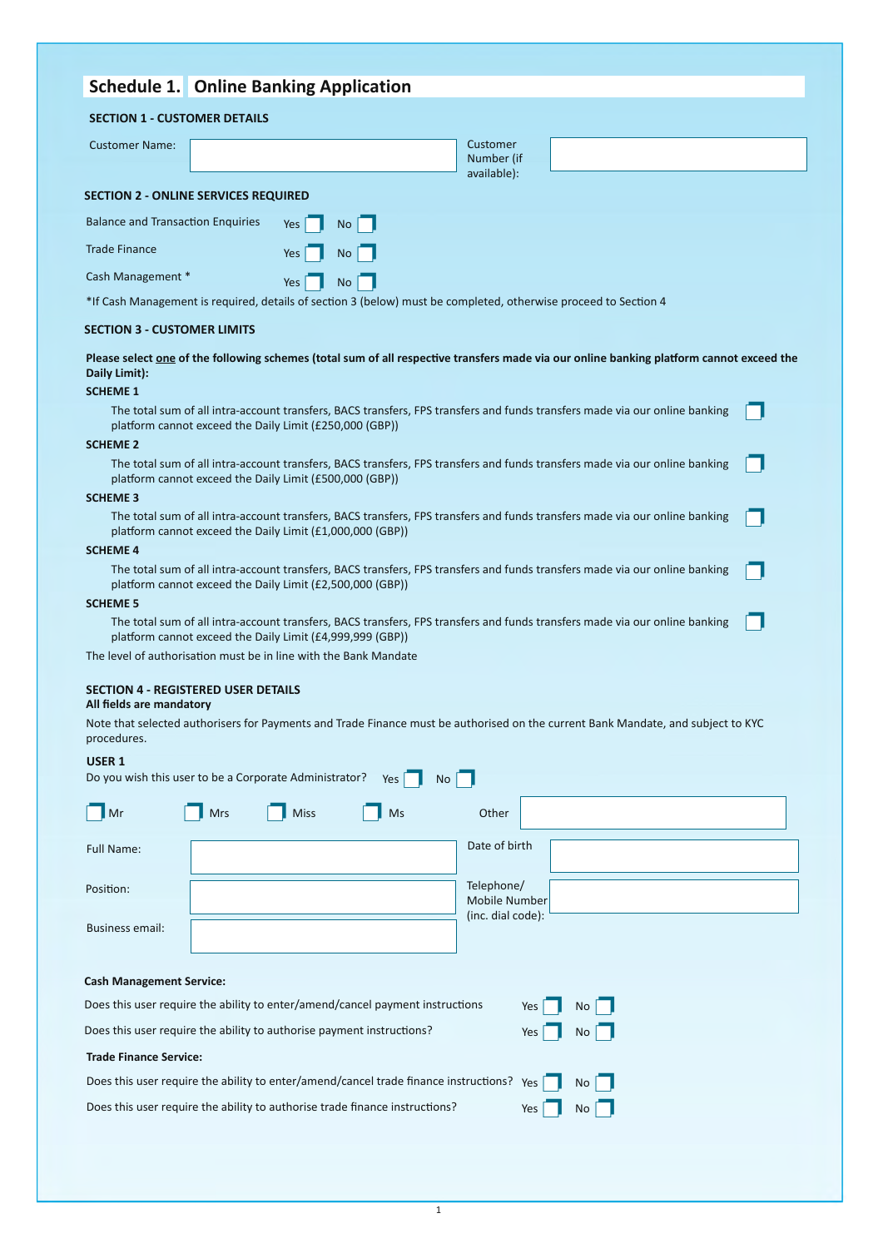| <b>Schedule 1.</b> Online Banking Application                                                                                                                                                               |                                       |
|-------------------------------------------------------------------------------------------------------------------------------------------------------------------------------------------------------------|---------------------------------------|
| <b>SECTION 1 - CUSTOMER DETAILS</b>                                                                                                                                                                         |                                       |
| <b>Customer Name:</b>                                                                                                                                                                                       | Customer<br>Number (if<br>available): |
| <b>SECTION 2 - ONLINE SERVICES REQUIRED</b>                                                                                                                                                                 |                                       |
| <b>Balance and Transaction Enquiries</b><br>No <sub>1</sub><br>Yes                                                                                                                                          |                                       |
| <b>Trade Finance</b><br>Yes<br><b>No</b>                                                                                                                                                                    |                                       |
| Cash Management *<br><b>No</b><br>Yes                                                                                                                                                                       |                                       |
| *If Cash Management is required, details of section 3 (below) must be completed, otherwise proceed to Section 4                                                                                             |                                       |
| <b>SECTION 3 - CUSTOMER LIMITS</b>                                                                                                                                                                          |                                       |
| Please select one of the following schemes (total sum of all respective transfers made via our online banking platform cannot exceed the<br>Daily Limit):<br><b>SCHEME 1</b>                                |                                       |
| The total sum of all intra-account transfers, BACS transfers, FPS transfers and funds transfers made via our online banking<br>platform cannot exceed the Daily Limit (£250,000 (GBP))<br><b>SCHEME 2</b>   |                                       |
| The total sum of all intra-account transfers, BACS transfers, FPS transfers and funds transfers made via our online banking<br>platform cannot exceed the Daily Limit (£500,000 (GBP))                      |                                       |
| <b>SCHEME 3</b>                                                                                                                                                                                             |                                       |
| The total sum of all intra-account transfers, BACS transfers, FPS transfers and funds transfers made via our online banking<br>platform cannot exceed the Daily Limit (£1,000,000 (GBP))                    |                                       |
| <b>SCHEME 4</b>                                                                                                                                                                                             |                                       |
| The total sum of all intra-account transfers, BACS transfers, FPS transfers and funds transfers made via our online banking<br>platform cannot exceed the Daily Limit (£2,500,000 (GBP))                    |                                       |
| <b>SCHEME 5</b><br>The total sum of all intra-account transfers, BACS transfers, FPS transfers and funds transfers made via our online banking<br>platform cannot exceed the Daily Limit (£4,999,999 (GBP)) |                                       |
| The level of authorisation must be in line with the Bank Mandate                                                                                                                                            |                                       |
| SECTION 4 - REGISTERED USER DETAILS<br>All fields are mandatory                                                                                                                                             |                                       |
| Note that selected authorisers for Payments and Trade Finance must be authorised on the current Bank Mandate, and subject to KYC<br>procedures.                                                             |                                       |
| <b>USER 1</b><br>Do you wish this user to be a Corporate Administrator?<br>Yes<br>No                                                                                                                        |                                       |
| Mr<br>Mrs<br>Miss<br>Ms                                                                                                                                                                                     | Other                                 |
| Full Name:                                                                                                                                                                                                  | Date of birth                         |
| Position:                                                                                                                                                                                                   | Telephone/<br>Mobile Number           |

| procedures.                                                                              |            |             |     |                             |     |    |  |  |
|------------------------------------------------------------------------------------------|------------|-------------|-----|-----------------------------|-----|----|--|--|
| USER <sub>1</sub><br>Do you wish this user to be a Corporate Administrator?              |            |             | Yes | No                          |     |    |  |  |
| Mr                                                                                       | <b>Mrs</b> | <b>Miss</b> | Ms  | Other                       |     |    |  |  |
| Full Name:                                                                               |            |             |     | Date of birth               |     |    |  |  |
| Position:                                                                                |            |             |     | Telephone/<br>Mobile Number |     |    |  |  |
| <b>Business email:</b>                                                                   |            |             |     | (inc. dial code):           |     |    |  |  |
| <b>Cash Management Service:</b>                                                          |            |             |     |                             |     |    |  |  |
| Does this user require the ability to enter/amend/cancel payment instructions            |            |             | Yes | No                          |     |    |  |  |
| Does this user require the ability to authorise payment instructions?                    |            |             |     |                             | Yes | No |  |  |
| <b>Trade Finance Service:</b>                                                            |            |             |     |                             |     |    |  |  |
| Does this user require the ability to enter/amend/cancel trade finance instructions? Yes |            |             |     |                             |     | No |  |  |

Does this user require the ability to authorise trade finance instructions?

 $Yes \fbox{No} \fbox{No}$